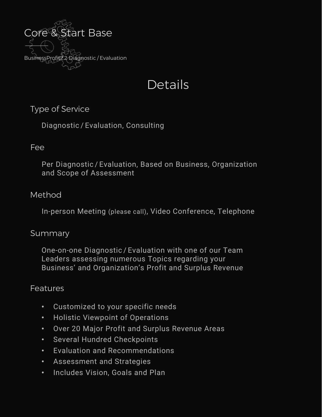

# Details

## Type of Service

Diagnostic / Evaluation, Consulting

#### Fee

Per Diagnostic / Evaluation, Based on Business, Organization and Scope of Assessment

## Method

In-person Meeting (please call), Video Conference, Telephone

#### Summary

One-on-one Diagnostic / Evaluation with one of our Team Leaders assessing numerous Topics regarding your Business' and Organization's Profit and Surplus Revenue

## Features

- Customized to your specific needs
- Holistic Viewpoint of Operations
- Over 20 Major Profit and Surplus Revenue Areas
- Several Hundred Checkpoints
- Evaluation and Recommendations
- Assessment and Strategies
- Includes Vision, Goals and Plan